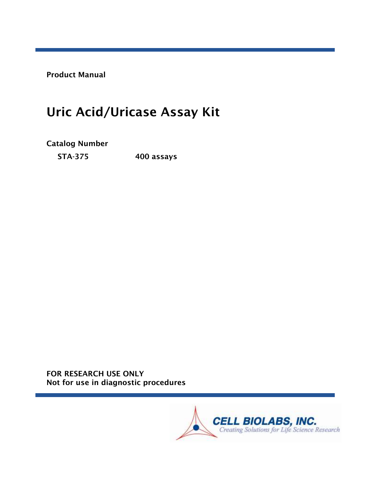Product Manual

# Uric Acid/Uricase Assay Kit

Catalog Number

STA-375 400 assays

FOR RESEARCH USE ONLY Not for use in diagnostic procedures

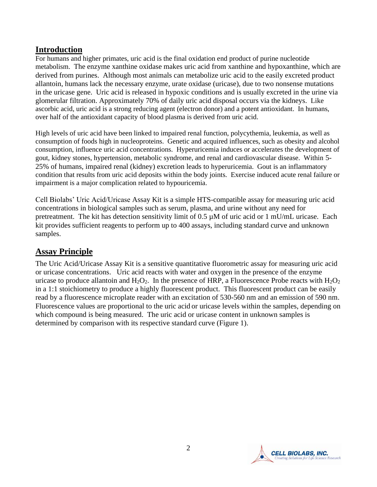# **Introduction**

For humans and higher primates, uric acid is the final oxidation end product of purine nucleotide metabolism. The enzyme xanthine oxidase makes uric acid from xanthine and hypoxanthine, which are derived from purines. Although most animals can metabolize uric acid to the easily excreted product allantoin, humans lack the necessary enzyme, urate oxidase (uricase), due to two nonsense mutations in the uricase gene. Uric acid is released in hypoxic conditions and is usually excreted in the urine via glomerular filtration. Approximately 70% of daily uric acid disposal occurs via the kidneys. Like ascorbic acid, uric acid is a strong reducing agent (electron donor) and a potent antioxidant. In humans, over half of the antioxidant capacity of blood plasma is derived from uric acid.

High levels of uric acid have been linked to impaired renal function, polycythemia, leukemia, as well as consumption of foods high in nucleoproteins. Genetic and acquired influences, such as obesity and alcohol consumption, influence uric acid concentrations. Hyperuricemia induces or accelerates the development of gout, kidney stones, hypertension, metabolic syndrome, and renal and cardiovascular disease. Within 5- 25% of humans, impaired renal (kidney) excretion leads to hyperuricemia. Gout is an inflammatory condition that results from uric acid deposits within the body joints. Exercise induced acute renal failure or impairment is a major complication related to hypouricemia.

Cell Biolabs' Uric Acid/Uricase Assay Kit is a simple HTS-compatible assay for measuring uric acid concentrations in biological samples such as serum, plasma, and urine without any need for pretreatment. The kit has detection sensitivity limit of 0.5  $\mu$ M of uric acid or 1 mU/mL uricase. Each kit provides sufficient reagents to perform up to 400 assays, including standard curve and unknown samples.

# **Assay Principle**

The Uric Acid/Uricase Assay Kit is a sensitive quantitative fluorometric assay for measuring uric acid or uricase concentrations. Uric acid reacts with water and oxygen in the presence of the enzyme uricase to produce allantoin and  $H_2O_2$ . In the presence of HRP, a Fluorescence Probe reacts with  $H_2O_2$ in a 1:1 stoichiometry to produce a highly fluorescent product. This fluorescent product can be easily read by a fluorescence microplate reader with an excitation of 530-560 nm and an emission of 590 nm. Fluorescence values are proportional to the uric acid or uricase levels within the samples, depending on which compound is being measured. The uric acid or uricase content in unknown samples is determined by comparison with its respective standard curve (Figure 1).

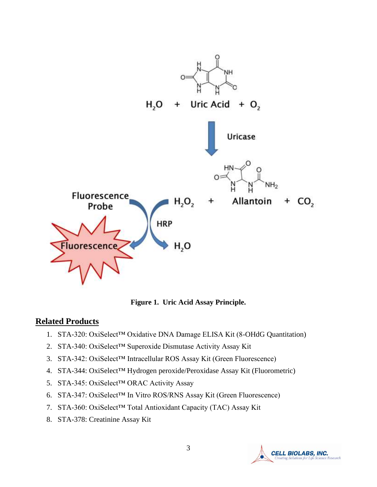

**Figure 1. Uric Acid Assay Principle.**

#### **Related Products**

- 1. STA-320: OxiSelect™ Oxidative DNA Damage ELISA Kit (8-OHdG Quantitation)
- 2. STA-340: OxiSelect™ Superoxide Dismutase Activity Assay Kit
- 3. STA-342: OxiSelect™ Intracellular ROS Assay Kit (Green Fluorescence)
- 4. STA-344: OxiSelect™ Hydrogen peroxide/Peroxidase Assay Kit (Fluorometric)
- 5. STA-345: OxiSelect™ ORAC Activity Assay
- 6. STA-347: OxiSelect™ In Vitro ROS/RNS Assay Kit (Green Fluorescence)
- 7. STA-360: OxiSelect™ Total Antioxidant Capacity (TAC) Assay Kit
- 8. STA-378: Creatinine Assay Kit

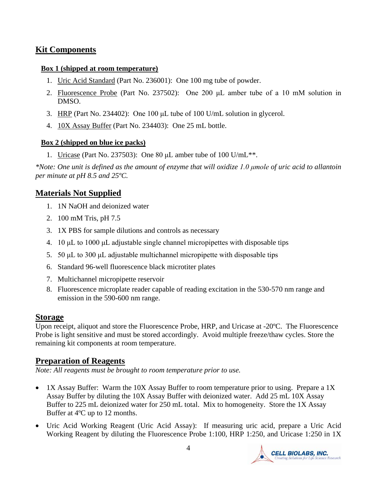# **Kit Components**

#### **Box 1 (shipped at room temperature)**

- 1. Uric Acid Standard (Part No. 236001): One 100 mg tube of powder.
- 2. Fluorescence Probe (Part No. 237502): One 200 μL amber tube of a 10 mM solution in DMSO.
- 3. HRP (Part No. 234402): One 100 μL tube of 100 U/mL solution in glycerol.
- 4. 10X Assay Buffer (Part No. 234403): One 25 mL bottle.

#### **Box 2 (shipped on blue ice packs)**

1. Uricase (Part No. 237503): One 80 μL amber tube of 100 U/mL\*\*.

*\*Note: One unit is defined as the amount of enzyme that will oxidize 1.0 μmole of uric acid to allantoin per minute at pH 8.5 and 25ºC.*

# **Materials Not Supplied**

- 1. 1N NaOH and deionized water
- 2. 100 mM Tris, pH 7.5
- 3. 1X PBS for sample dilutions and controls as necessary
- 4. 10 μL to 1000 μL adjustable single channel micropipettes with disposable tips
- 5. 50 μL to 300 μL adjustable multichannel micropipette with disposable tips
- 6. Standard 96-well fluorescence black microtiter plates
- 7. Multichannel micropipette reservoir
- 8. Fluorescence microplate reader capable of reading excitation in the 530-570 nm range and emission in the 590-600 nm range.

# **Storage**

Upon receipt, aliquot and store the Fluorescence Probe, HRP, and Uricase at -20ºC. The Fluorescence Probe is light sensitive and must be stored accordingly. Avoid multiple freeze/thaw cycles. Store the remaining kit components at room temperature.

# **Preparation of Reagents**

*Note: All reagents must be brought to room temperature prior to use.* 

- 1X Assay Buffer: Warm the 10X Assay Buffer to room temperature prior to using. Prepare a 1X Assay Buffer by diluting the 10X Assay Buffer with deionized water. Add 25 mL 10X Assay Buffer to 225 mL deionized water for 250 mL total. Mix to homogeneity. Store the 1X Assay Buffer at 4ºC up to 12 months.
- Uric Acid Working Reagent (Uric Acid Assay): If measuring uric acid, prepare a Uric Acid Working Reagent by diluting the Fluorescence Probe 1:100, HRP 1:250, and Uricase 1:250 in 1X

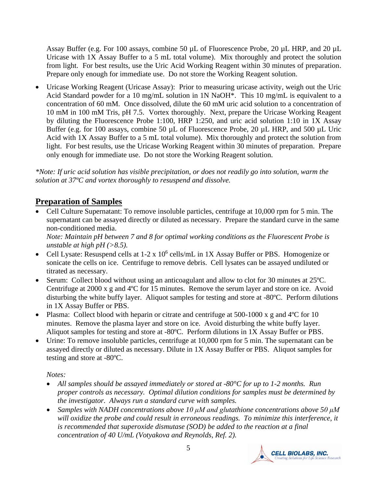Assay Buffer (e.g. For 100 assays, combine 50 µL of Fluorescence Probe, 20 µL HRP, and 20 µL Uricase with 1X Assay Buffer to a 5 mL total volume). Mix thoroughly and protect the solution from light. For best results, use the Uric Acid Working Reagent within 30 minutes of preparation. Prepare only enough for immediate use. Do not store the Working Reagent solution.

• Uricase Working Reagent (Uricase Assay): Prior to measuring uricase activity, weigh out the Uric Acid Standard powder for a 10 mg/mL solution in 1N NaOH\*. This 10 mg/mL is equivalent to a concentration of 60 mM. Once dissolved, dilute the 60 mM uric acid solution to a concentration of 10 mM in 100 mM Tris, pH 7.5. Vortex thoroughly. Next, prepare the Uricase Working Reagent by diluting the Fluorescence Probe 1:100, HRP 1:250, and uric acid solution 1:10 in 1X Assay Buffer (e.g. for 100 assays, combine 50  $\mu$ L of Fluorescence Probe, 20  $\mu$ L HRP, and 500  $\mu$ L Uric Acid with 1X Assay Buffer to a 5 mL total volume). Mix thoroughly and protect the solution from light. For best results, use the Uricase Working Reagent within 30 minutes of preparation. Prepare only enough for immediate use. Do not store the Working Reagent solution.

*\*Note: If uric acid solution has visible precipitation, or does not readily go into solution, warm the solution at 37ºC and vortex thoroughly to resuspend and dissolve.*

# **Preparation of Samples**

• Cell Culture Supernatant: To remove insoluble particles, centrifuge at 10,000 rpm for 5 min. The supernatant can be assayed directly or diluted as necessary. Prepare the standard curve in the same non-conditioned media.

*Note: Maintain pH between 7 and 8 for optimal working conditions as the Fluorescent Probe is unstable at high pH (>8.5).*

- Cell Lysate: Resuspend cells at  $1-2 \times 10^6$  cells/mL in 1X Assay Buffer or PBS. Homogenize or sonicate the cells on ice. Centrifuge to remove debris. Cell lysates can be assayed undiluted or titrated as necessary.
- Serum: Collect blood without using an anticoagulant and allow to clot for 30 minutes at 25 °C. Centrifuge at 2000 x g and 4ºC for 15 minutes. Remove the serum layer and store on ice. Avoid disturbing the white buffy layer. Aliquot samples for testing and store at -80ºC. Perform dilutions in 1X Assay Buffer or PBS.
- Plasma: Collect blood with heparin or citrate and centrifuge at 500-1000 x g and 4 °C for 10 minutes. Remove the plasma layer and store on ice. Avoid disturbing the white buffy layer. Aliquot samples for testing and store at -80ºC. Perform dilutions in 1X Assay Buffer or PBS.
- Urine: To remove insoluble particles, centrifuge at 10,000 rpm for 5 min. The supernatant can be assayed directly or diluted as necessary. Dilute in 1X Assay Buffer or PBS. Aliquot samples for testing and store at -80ºC.

*Notes:*

- *All samples should be assayed immediately or stored at -80°C for up to 1-2 months. Run proper controls as necessary. Optimal dilution conditions for samples must be determined by the investigator. Always run a standard curve with samples.*
- *Samples with NADH concentrations above 10 μM and glutathione concentrations above 50 μM will oxidize the probe and could result in erroneous readings. To minimize this interference, it is recommended that superoxide dismutase (SOD) be added to the reaction at a final concentration of 40 U/mL (Votyakova and Reynolds, Ref. 2).*

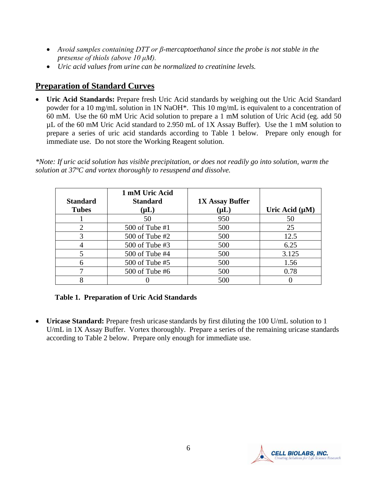- *Avoid samples containing DTT or β-mercaptoethanol since the probe is not stable in the presense of thiols (above 10 μM).*
- *Uric acid values from urine can be normalized to creatinine levels.*

# **Preparation of Standard Curves**

• **Uric Acid Standards:** Prepare fresh Uric Acid standards by weighing out the Uric Acid Standard powder for a 10 mg/mL solution in 1N NaOH\*. This 10 mg/mL is equivalent to a concentration of 60 mM. Use the 60 mM Uric Acid solution to prepare a 1 mM solution of Uric Acid (eg. add 50 µL of the 60 mM Uric Acid standard to 2.950 mL of 1X Assay Buffer). Use the 1 mM solution to prepare a series of uric acid standards according to Table 1 below. Prepare only enough for immediate use. Do not store the Working Reagent solution.

*\*Note: If uric acid solution has visible precipitation, or does not readily go into solution, warm the solution at 37ºC and vortex thoroughly to resuspend and dissolve.*

| <b>Standard</b><br><b>Tubes</b> | 1 mM Uric Acid<br><b>Standard</b><br>$(\mu L)$ | <b>1X Assay Buffer</b><br>$(\mu L)$ | Uric Acid $(\mu M)$ |
|---------------------------------|------------------------------------------------|-------------------------------------|---------------------|
|                                 | 50                                             | 950                                 | 50                  |
|                                 | 500 of Tube #1                                 | 500                                 | 25                  |
| 3                               | $500$ of Tube #2                               | 500                                 | 12.5                |
|                                 | 500 of Tube #3                                 | 500                                 | 6.25                |
|                                 | 500 of Tube #4                                 | 500                                 | 3.125               |
| 6                               | 500 of Tube #5                                 | 500                                 | 1.56                |
|                                 | $500$ of Tube #6                               | 500                                 | 0.78                |
|                                 |                                                | 500                                 |                     |

#### **Table 1. Preparation of Uric Acid Standards**

• **Uricase Standard:** Prepare fresh uricase standards by first diluting the 100 U/mL solution to 1 U/mL in 1X Assay Buffer. Vortex thoroughly. Prepare a series of the remaining uricase standards according to Table 2 below. Prepare only enough for immediate use.

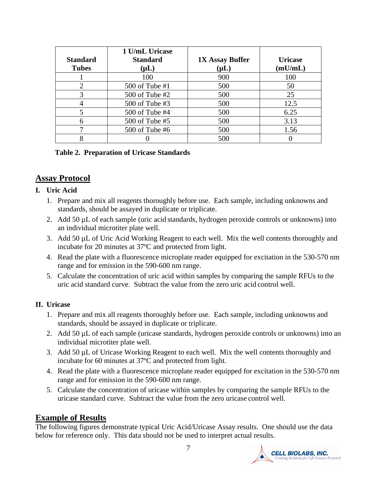| <b>Standard</b><br><b>Tubes</b> | 1 U/mL Uricase<br><b>Standard</b><br>$(\mu L)$ | <b>1X Assay Buffer</b><br>$(\mu L)$ | <b>Uricase</b><br>(mU/mL) |
|---------------------------------|------------------------------------------------|-------------------------------------|---------------------------|
|                                 | 100                                            | 900                                 | 100                       |
|                                 | 500 of Tube #1                                 | 500                                 | 50                        |
|                                 | 500 of Tube #2                                 | 500                                 | 25                        |
|                                 | 500 of Tube #3                                 | 500                                 | 12.5                      |
|                                 | 500 of Tube #4                                 | 500                                 | 6.25                      |
| 6                               | 500 of Tube #5                                 | 500                                 | 3.13                      |
|                                 | $500$ of Tube #6                               | 500                                 | 1.56                      |
|                                 |                                                | 500                                 |                           |

#### **Table 2. Preparation of Uricase Standards**

#### **Assay Protocol**

#### **I. Uric Acid**

- 1. Prepare and mix all reagents thoroughly before use. Each sample, including unknowns and standards, should be assayed in duplicate or triplicate.
- 2. Add 50 µL of each sample (uric acid standards, hydrogen peroxide controls or unknowns) into an individual microtiter plate well.
- 3. Add 50 µL of Uric Acid Working Reagent to each well. Mix the well contents thoroughly and incubate for 20 minutes at 37ºC and protected from light.
- 4. Read the plate with a fluorescence microplate reader equipped for excitation in the 530-570 nm range and for emission in the 590-600 nm range.
- 5. Calculate the concentration of uric acid within samples by comparing the sample RFUs to the uric acid standard curve. Subtract the value from the zero uric acid control well.

#### **II. Uricase**

- 1. Prepare and mix all reagents thoroughly before use. Each sample, including unknowns and standards, should be assayed in duplicate or triplicate.
- 2. Add 50 µL of each sample (uricase standards, hydrogen peroxide controls or unknowns) into an individual microtiter plate well.
- 3. Add 50 µL of Uricase Working Reagent to each well. Mix the well contents thoroughly and incubate for 60 minutes at 37ºC and protected from light.
- 4. Read the plate with a fluorescence microplate reader equipped for excitation in the 530-570 nm range and for emission in the 590-600 nm range.
- 5. Calculate the concentration of uricase within samples by comparing the sample RFUs to the uricase standard curve. Subtract the value from the zero uricase control well.

#### **Example of Results**

The following figures demonstrate typical Uric Acid/Uricase Assay results. One should use the data below for reference only. This data should not be used to interpret actual results.

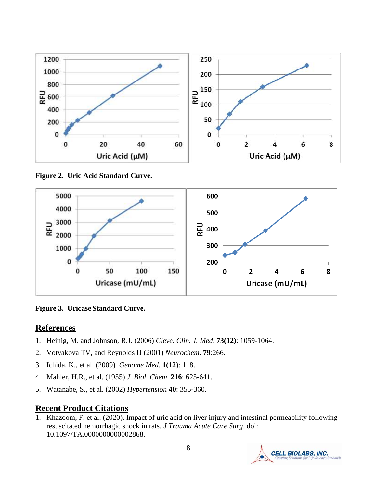

**Figure 2. Uric Acid Standard Curve.**



**Figure 3. Uricase Standard Curve.**

# **References**

- 1. Heinig, M. and Johnson, R.J. (2006) *Cleve. Clin. J. Med*. **73(12)**: 1059-1064.
- 2. Votyakova TV, and Reynolds IJ (2001) *Neurochem*. **79**:266.
- 3. Ichida, K., et al. (2009) *Genome Med*. **1(12)**: 118.
- 4. Mahler, H.R., et al. (1955) *J. Biol. Chem*. **216**: 625-641.
- 5. Watanabe, S., et al. (2002) *Hypertension* **40**: 355-360.

# **Recent Product Citations**

1. Khazoom, F. et al. (2020). Impact of uric acid on liver injury and intestinal permeability following resuscitated hemorrhagic shock in rats. *J Trauma Acute Care Surg*. doi: 10.1097/TA.0000000000002868.